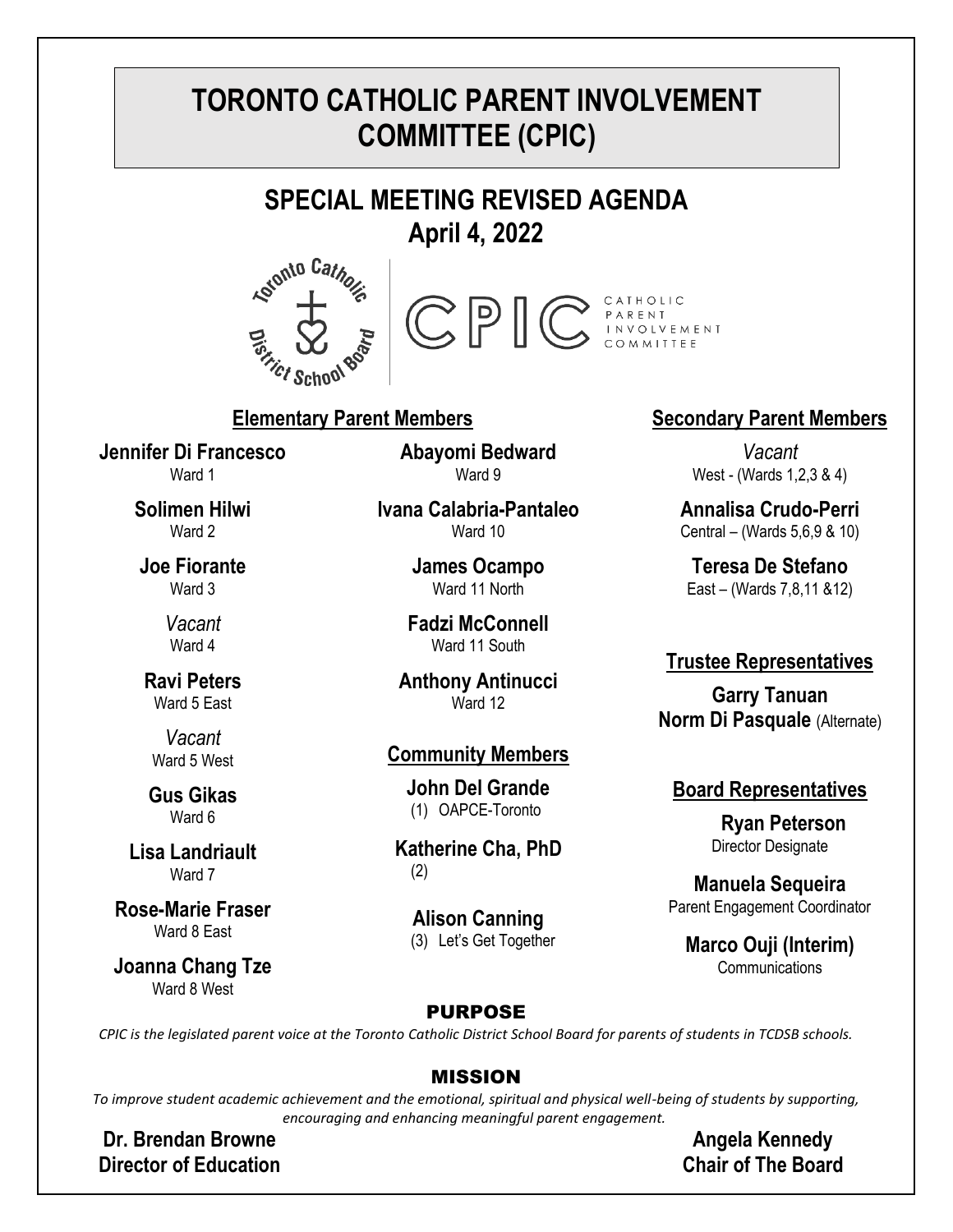# **TORONTO CATHOLIC PARENT INVOLVEMENT COMMITTEE (CPIC)**

# **SPECIAL MEETING REVISED AGENDA April 4, 2022**





## **Elementary Parent Members Secondary Parent Members**

**Jennifer Di Francesco** Ward 1

> **Solimen Hilwi** Ward 2

**Joe Fiorante** Ward 3

> *Vacant* Ward 4

**Ravi Peters** Ward 5 East

*Vacant* Ward 5 West

**Gus Gikas** Ward **6** 

**Lisa Landriault** Ward 7

**Rose-Marie Fraser** Ward 8 East

**Joanna Chang Tze** Ward 8 West

**Abayomi Bedward** Ward 9

**Ivana Calabria-Pantaleo** Ward 10

> **James Ocampo** Ward 11 North

**Fadzi McConnell** Ward 11 South

**Anthony Antinucci** Ward 12

#### **Community Members**

**John Del Grande** (1) OAPCE-Toronto

**Katherine Cha, PhD** (2)

**Alison Canning** (3) Let's Get Together

*Vacant* West - (Wards 1,2,3 & 4)

**Annalisa Crudo-Perri** Central – (Wards 5,6,9 & 10)

**Teresa De Stefano** East – (Wards 7,8,11 &12)

#### **Trustee Representatives**

**Garry Tanuan Norm Di Pasquale** (Alternate)

#### **Board Representatives**

 **Ryan Peterson** Director Designate

**Manuela Sequeira** Parent Engagement Coordinator

**Marco Ouji (Interim)** Communications

#### PURPOSE

*CPIC is the legislated parent voice at the Toronto Catholic District School Board for parents of students in TCDSB schools.*

#### MISSION

*To improve student academic achievement and the emotional, spiritual and physical well-being of students by supporting, encouraging and enhancing meaningful parent engagement.*

**Dr. Brendan Browne Director of Education**

**Angela Kennedy Chair of The Board**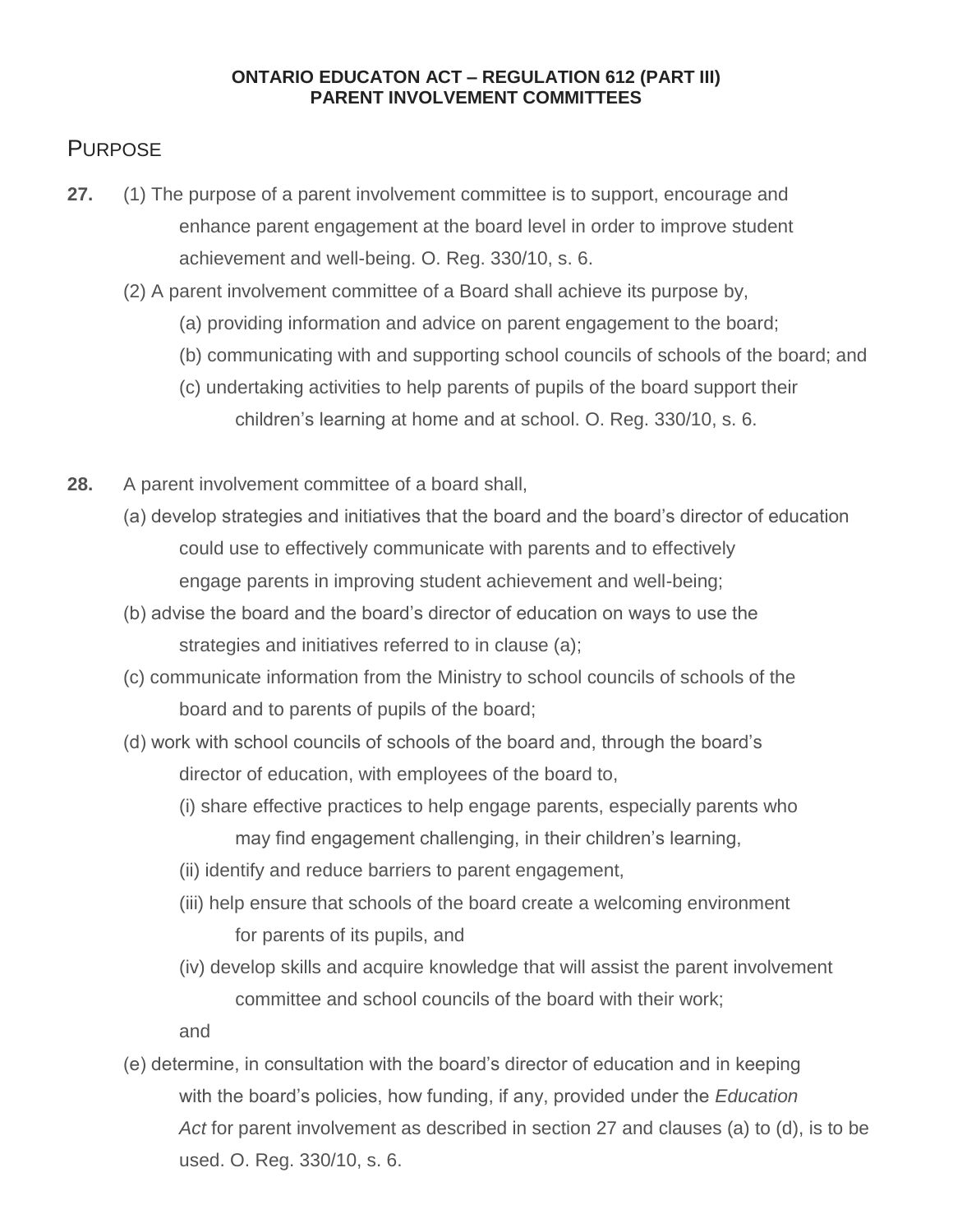#### **ONTARIO EDUCATON ACT – REGULATION 612 (PART III) PARENT INVOLVEMENT COMMITTEES**

## **PURPOSE**

- **27.** (1) The purpose of a parent involvement committee is to support, encourage and enhance parent engagement at the board level in order to improve student achievement and well-being. O. Reg. 330/10, s. 6.
	- (2) A parent involvement committee of a Board shall achieve its purpose by,
		- (a) providing information and advice on parent engagement to the board;
		- (b) communicating with and supporting school councils of schools of the board; and
		- (c) undertaking activities to help parents of pupils of the board support their children's learning at home and at school. O. Reg. 330/10, s. 6.
- **28.** A parent involvement committee of a board shall,
	- (a) develop strategies and initiatives that the board and the board's director of education could use to effectively communicate with parents and to effectively engage parents in improving student achievement and well-being;
	- (b) advise the board and the board's director of education on ways to use the strategies and initiatives referred to in clause (a);
	- (c) communicate information from the Ministry to school councils of schools of the board and to parents of pupils of the board;
	- (d) work with school councils of schools of the board and, through the board's director of education, with employees of the board to,
		- (i) share effective practices to help engage parents, especially parents who may find engagement challenging, in their children's learning,
		- (ii) identify and reduce barriers to parent engagement,
		- (iii) help ensure that schools of the board create a welcoming environment for parents of its pupils, and
		- (iv) develop skills and acquire knowledge that will assist the parent involvement committee and school councils of the board with their work;

and

(e) determine, in consultation with the board's director of education and in keeping with the board's policies, how funding, if any, provided under the *Education Act* for parent involvement as described in section 27 and clauses (a) to (d), is to be used. O. Reg. 330/10, s. 6.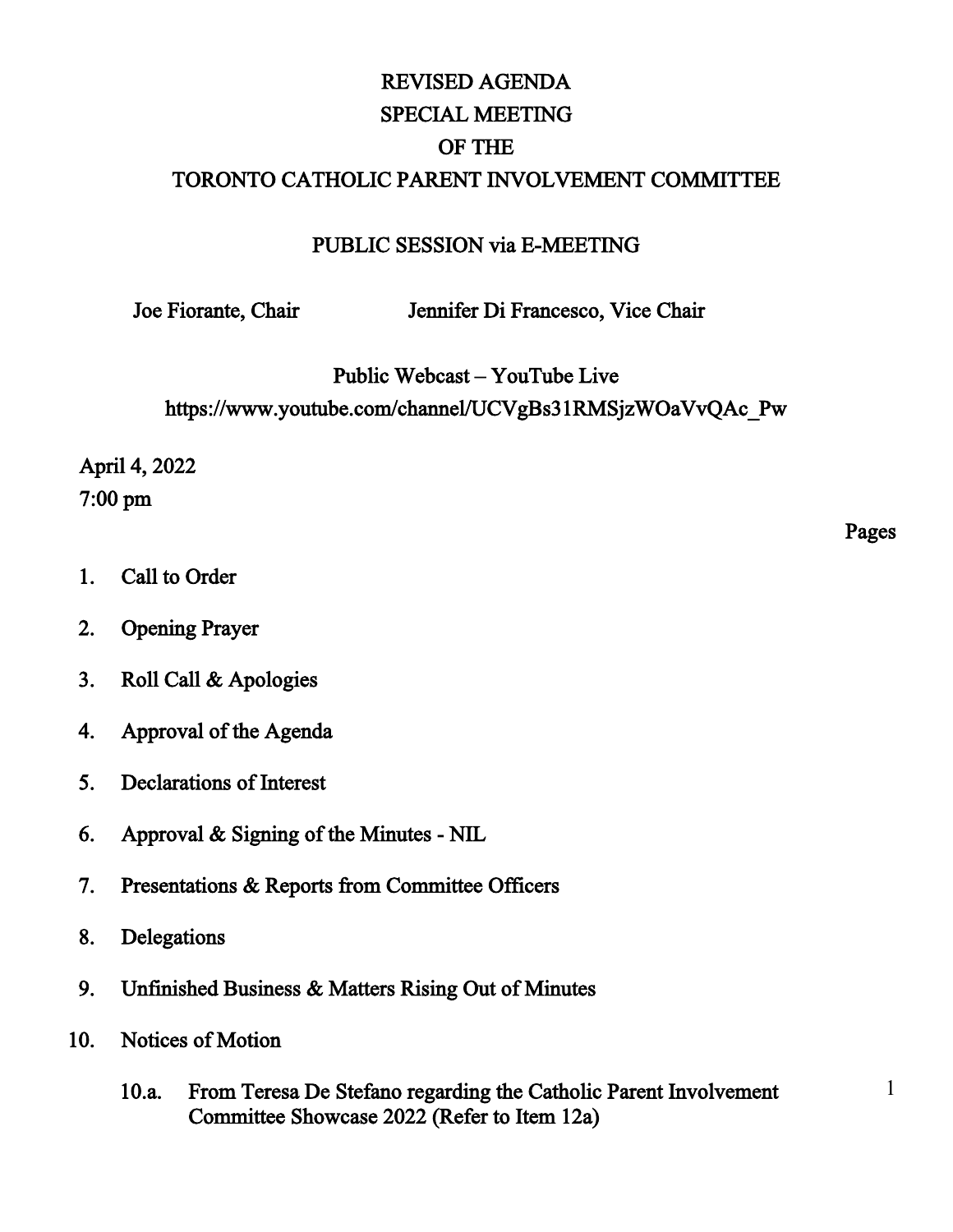# REVISED AGENDA SPECIAL MEETING OF THE TORONTO CATHOLIC PARENT INVOLVEMENT COMMITTEE

#### PUBLIC SESSION via E-MEETING

Joe Fiorante, Chair Jennifer Di Francesco, Vice Chair

Public Webcast – YouTube Live

https://www.youtube.com/channel/UCVgBs31RMSjzWOaVvQAc\_Pw

April 4, 2022 7:00 pm

- 1. Call to Order
- 2. Opening Prayer
- 3. Roll Call & Apologies
- 4. Approval of the Agenda
- 5. Declarations of Interest
- 6. Approval & Signing of the Minutes NIL
- 7. Presentations & Reports from Committee Officers
- 8. Delegations
- 9. Unfinished Business & Matters Rising Out of Minutes
- 10. Notices of Motion
	- 10.a. From Teresa De Stefano regarding the Catholic Parent Involvement Committee Showcase 2022 (Refer to Item 12a)

Pages

1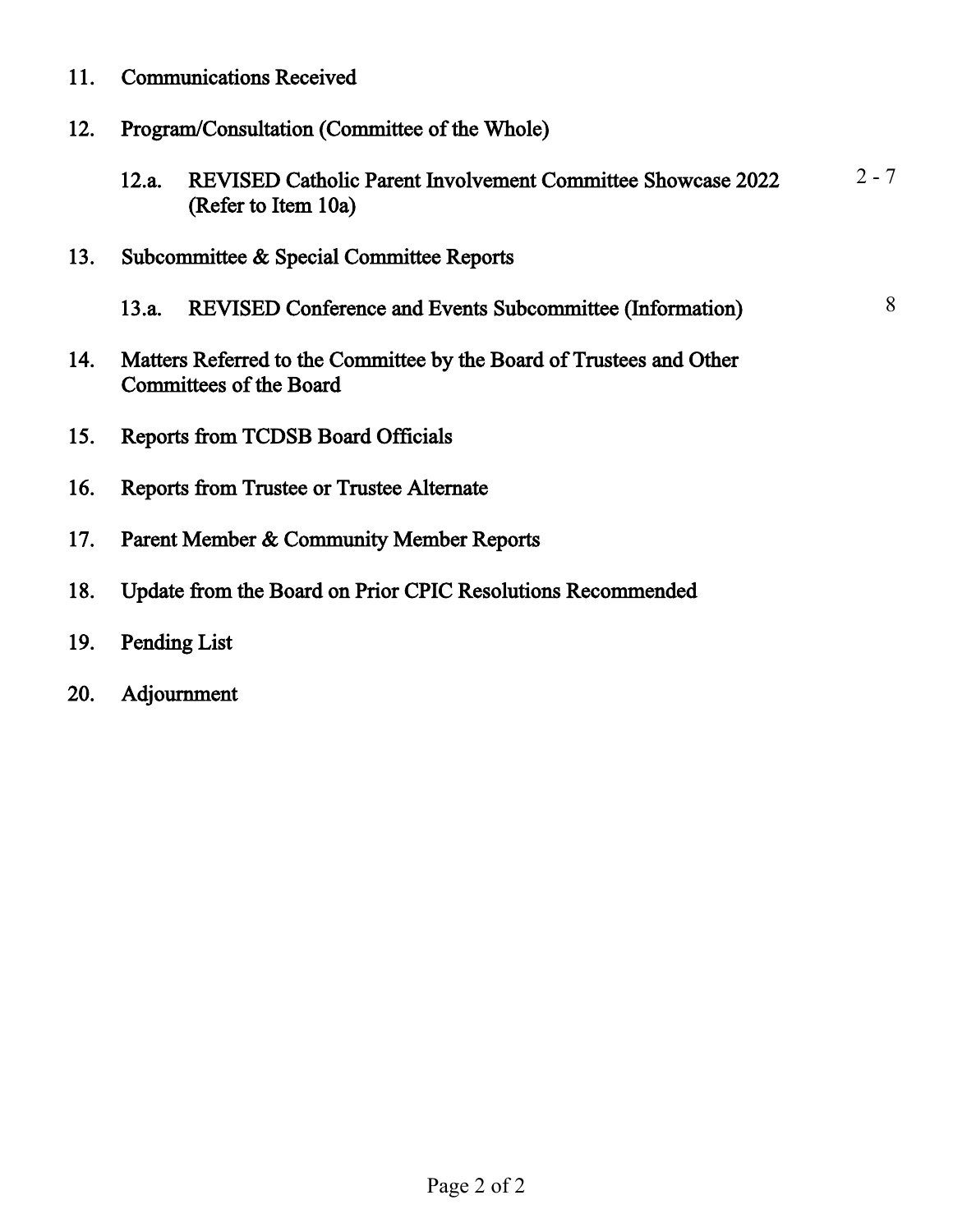- 11. Communications Received
- 12. Program/Consultation (Committee of the Whole)
	- 12.a. REVISED Catholic Parent Involvement Committee Showcase 2022 (Refer to Item 10a)  $2 - 7$
- 13. Subcommittee & Special Committee Reports
	- 13.a. REVISED Conference and Events Subcommittee (Information) 8
- 14. Matters Referred to the Committee by the Board of Trustees and Other Committees of the Board
- 15. Reports from TCDSB Board Officials
- 16. Reports from Trustee or Trustee Alternate
- 17. Parent Member & Community Member Reports
- 18. Update from the Board on Prior CPIC Resolutions Recommended
- 19. Pending List
- 20. Adjournment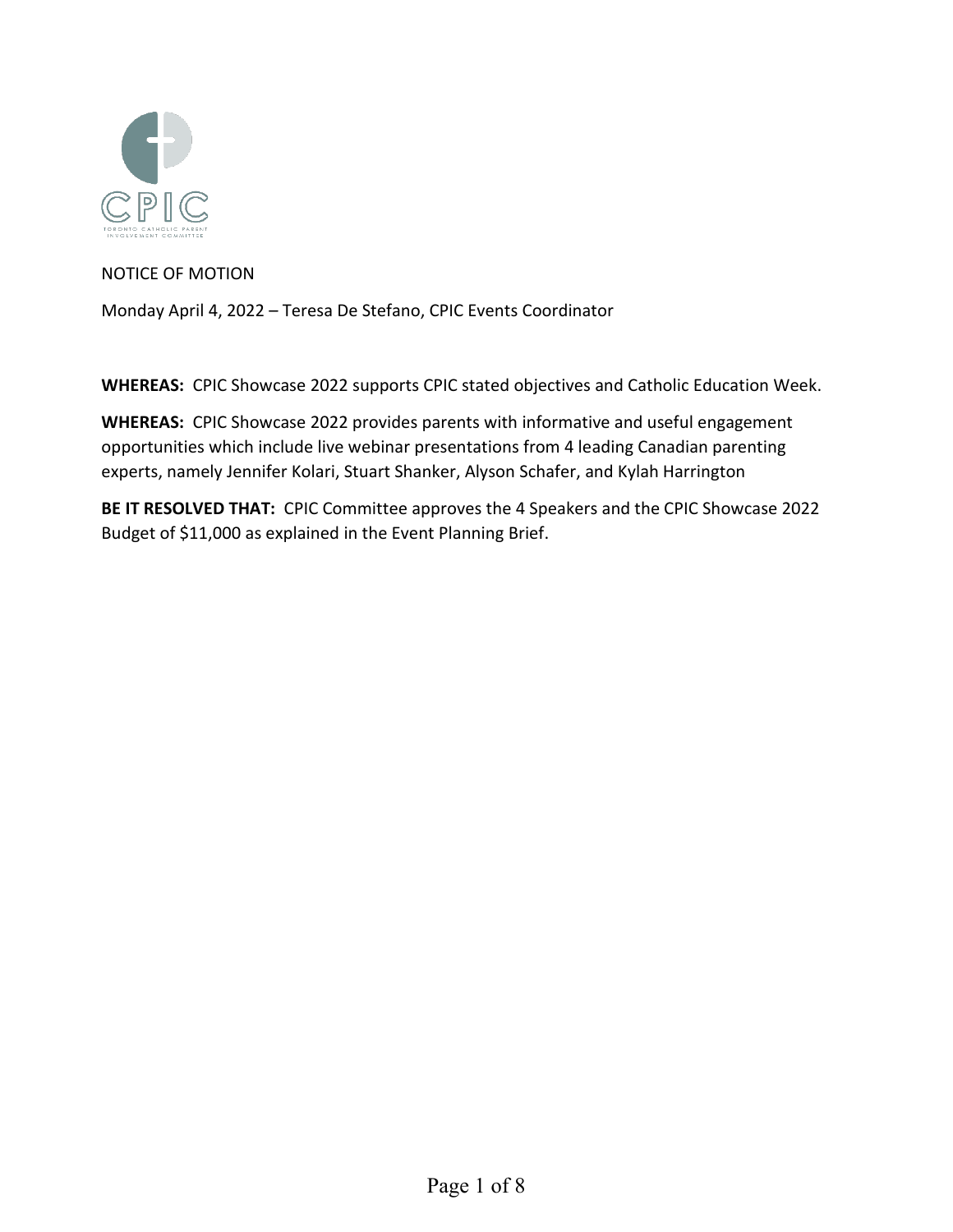

NOTICE OF MOTION

Monday April 4, 2022 – Teresa De Stefano, CPIC Events Coordinator

**WHEREAS:** CPIC Showcase 2022 supports CPIC stated objectives and Catholic Education Week.

**WHEREAS:** CPIC Showcase 2022 provides parents with informative and useful engagement opportunities which include live webinar presentations from 4 leading Canadian parenting experts, namely Jennifer Kolari, Stuart Shanker, Alyson Schafer, and Kylah Harrington

**BE IT RESOLVED THAT:** CPIC Committee approves the 4 Speakers and the CPIC Showcase 2022 Budget of \$11,000 as explained in the Event Planning Brief.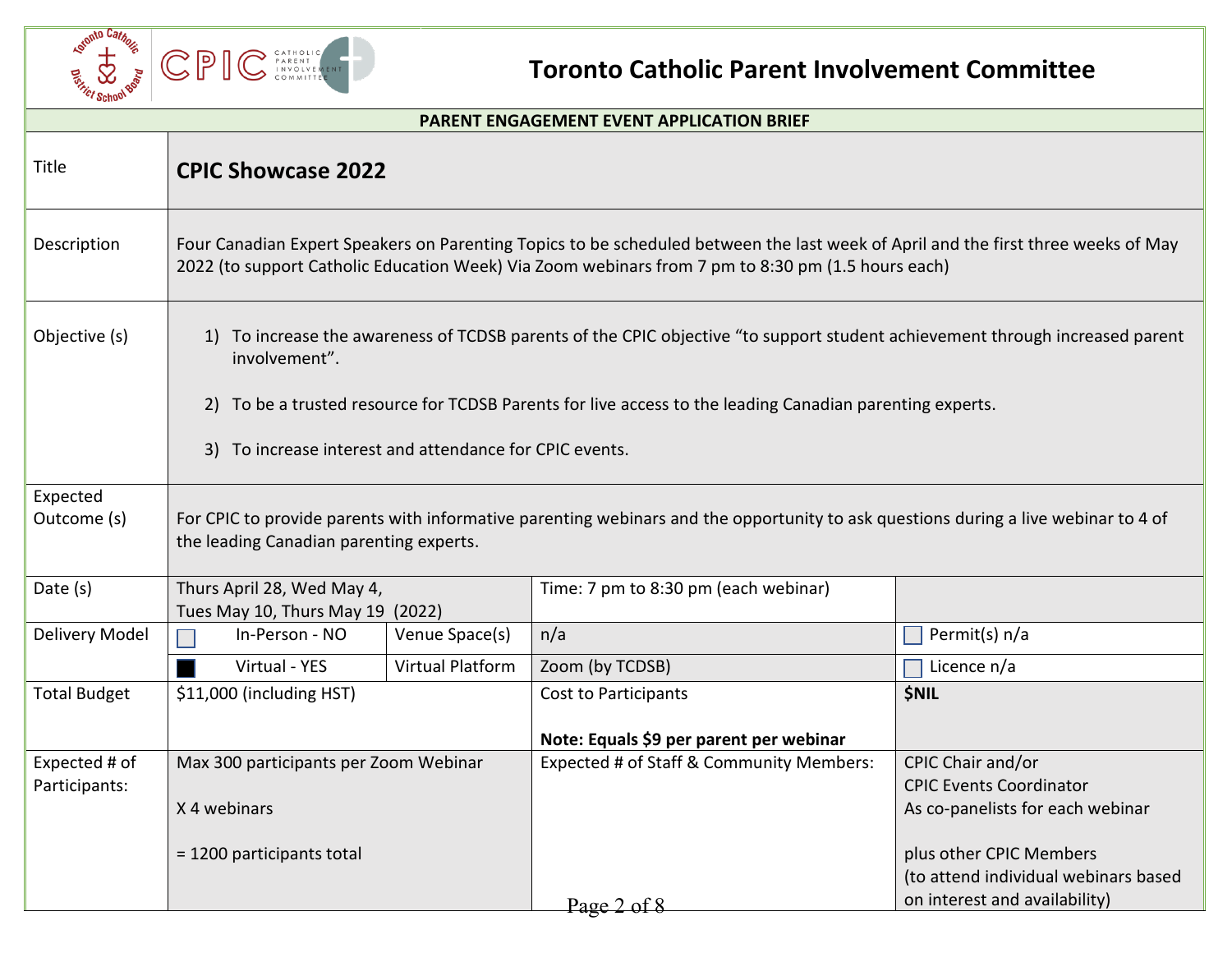

# **Toronto Catholic Parent Involvement Committee**

| <b>PARENT ENGAGEMENT EVENT APPLICATION BRIEF</b> |                                                                                                                                                                                                                                                                                                                      |                         |                                                                 |                                                                                                  |  |
|--------------------------------------------------|----------------------------------------------------------------------------------------------------------------------------------------------------------------------------------------------------------------------------------------------------------------------------------------------------------------------|-------------------------|-----------------------------------------------------------------|--------------------------------------------------------------------------------------------------|--|
| Title                                            | <b>CPIC Showcase 2022</b>                                                                                                                                                                                                                                                                                            |                         |                                                                 |                                                                                                  |  |
| Description                                      | Four Canadian Expert Speakers on Parenting Topics to be scheduled between the last week of April and the first three weeks of May<br>2022 (to support Catholic Education Week) Via Zoom webinars from 7 pm to 8:30 pm (1.5 hours each)                                                                               |                         |                                                                 |                                                                                                  |  |
| Objective (s)                                    | 1) To increase the awareness of TCDSB parents of the CPIC objective "to support student achievement through increased parent<br>involvement".<br>2) To be a trusted resource for TCDSB Parents for live access to the leading Canadian parenting experts.<br>3) To increase interest and attendance for CPIC events. |                         |                                                                 |                                                                                                  |  |
| Expected<br>Outcome (s)                          | For CPIC to provide parents with informative parenting webinars and the opportunity to ask questions during a live webinar to 4 of<br>the leading Canadian parenting experts.                                                                                                                                        |                         |                                                                 |                                                                                                  |  |
| Date (s)                                         | Thurs April 28, Wed May 4,<br>Tues May 10, Thurs May 19 (2022)                                                                                                                                                                                                                                                       |                         | Time: 7 pm to 8:30 pm (each webinar)                            |                                                                                                  |  |
| Delivery Model                                   | In-Person - NO                                                                                                                                                                                                                                                                                                       | Venue Space(s)          | n/a                                                             | Permit(s) n/a                                                                                    |  |
|                                                  | Virtual - YES                                                                                                                                                                                                                                                                                                        | <b>Virtual Platform</b> | Zoom (by TCDSB)                                                 | Licence n/a<br>$\Box$                                                                            |  |
| <b>Total Budget</b>                              | \$11,000 (including HST)                                                                                                                                                                                                                                                                                             |                         | Cost to Participants<br>Note: Equals \$9 per parent per webinar | <b>\$NIL</b>                                                                                     |  |
| Expected # of<br>Participants:                   | Max 300 participants per Zoom Webinar<br>X 4 webinars                                                                                                                                                                                                                                                                |                         | Expected # of Staff & Community Members:                        | CPIC Chair and/or<br><b>CPIC Events Coordinator</b><br>As co-panelists for each webinar          |  |
|                                                  | = 1200 participants total                                                                                                                                                                                                                                                                                            |                         | Page 2 of 8                                                     | plus other CPIC Members<br>(to attend individual webinars based<br>on interest and availability) |  |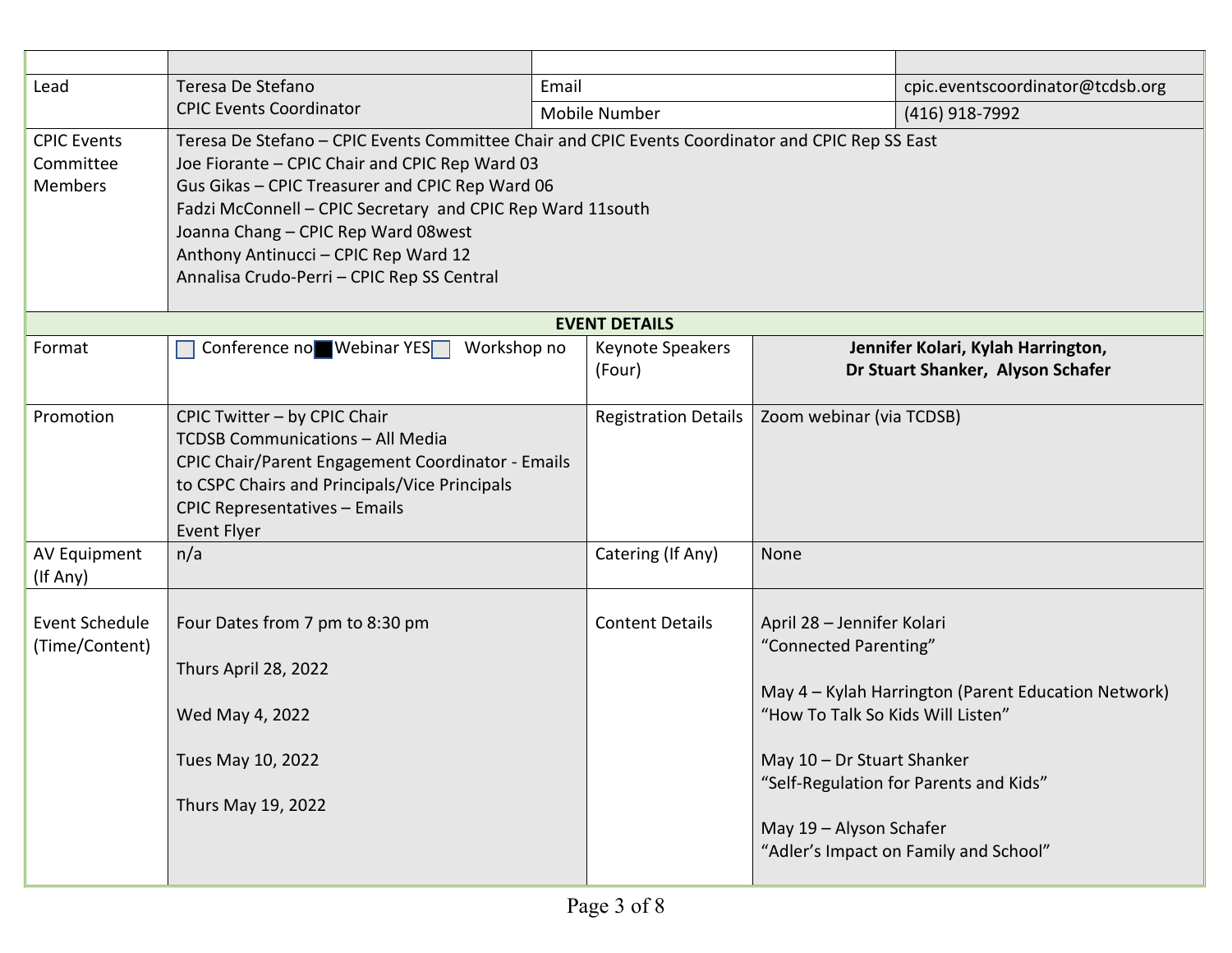| Lead                                              | Teresa De Stefano                                                                                                                                                                                                                                                                            | Email                                                                                            |                                                                                                                                                   | cpic.eventscoordinator@tcdsb.org                                                                                                       |  |
|---------------------------------------------------|----------------------------------------------------------------------------------------------------------------------------------------------------------------------------------------------------------------------------------------------------------------------------------------------|--------------------------------------------------------------------------------------------------|---------------------------------------------------------------------------------------------------------------------------------------------------|----------------------------------------------------------------------------------------------------------------------------------------|--|
|                                                   | <b>CPIC Events Coordinator</b>                                                                                                                                                                                                                                                               | <b>Mobile Number</b>                                                                             |                                                                                                                                                   | (416) 918-7992                                                                                                                         |  |
| <b>CPIC Events</b><br>Committee<br><b>Members</b> | Joe Fiorante - CPIC Chair and CPIC Rep Ward 03<br>Gus Gikas - CPIC Treasurer and CPIC Rep Ward 06<br>Fadzi McConnell - CPIC Secretary and CPIC Rep Ward 11south<br>Joanna Chang - CPIC Rep Ward 08west<br>Anthony Antinucci - CPIC Rep Ward 12<br>Annalisa Crudo-Perri - CPIC Rep SS Central | Teresa De Stefano - CPIC Events Committee Chair and CPIC Events Coordinator and CPIC Rep SS East |                                                                                                                                                   |                                                                                                                                        |  |
|                                                   |                                                                                                                                                                                                                                                                                              | <b>EVENT DETAILS</b>                                                                             |                                                                                                                                                   |                                                                                                                                        |  |
| Format                                            | Conference no Webinar YES<br>Workshop no                                                                                                                                                                                                                                                     | Keynote Speakers<br>(Four)                                                                       |                                                                                                                                                   | Jennifer Kolari, Kylah Harrington,<br>Dr Stuart Shanker, Alyson Schafer                                                                |  |
| Promotion                                         | CPIC Twitter - by CPIC Chair<br>TCDSB Communications - All Media<br><b>CPIC Chair/Parent Engagement Coordinator - Emails</b><br>to CSPC Chairs and Principals/Vice Principals<br><b>CPIC Representatives - Emails</b><br><b>Event Flyer</b>                                                  | <b>Registration Details</b>                                                                      | Zoom webinar (via TCDSB)                                                                                                                          |                                                                                                                                        |  |
| AV Equipment<br>(If Any)                          | n/a                                                                                                                                                                                                                                                                                          | Catering (If Any)                                                                                | None                                                                                                                                              |                                                                                                                                        |  |
| Event Schedule<br>(Time/Content)                  | Four Dates from 7 pm to 8:30 pm<br>Thurs April 28, 2022<br>Wed May 4, 2022<br>Tues May 10, 2022<br>Thurs May 19, 2022                                                                                                                                                                        | <b>Content Details</b>                                                                           | April 28 - Jennifer Kolari<br>"Connected Parenting"<br>"How To Talk So Kids Will Listen"<br>May 10 - Dr Stuart Shanker<br>May 19 - Alyson Schafer | May 4 - Kylah Harrington (Parent Education Network)<br>"Self-Regulation for Parents and Kids"<br>"Adler's Impact on Family and School" |  |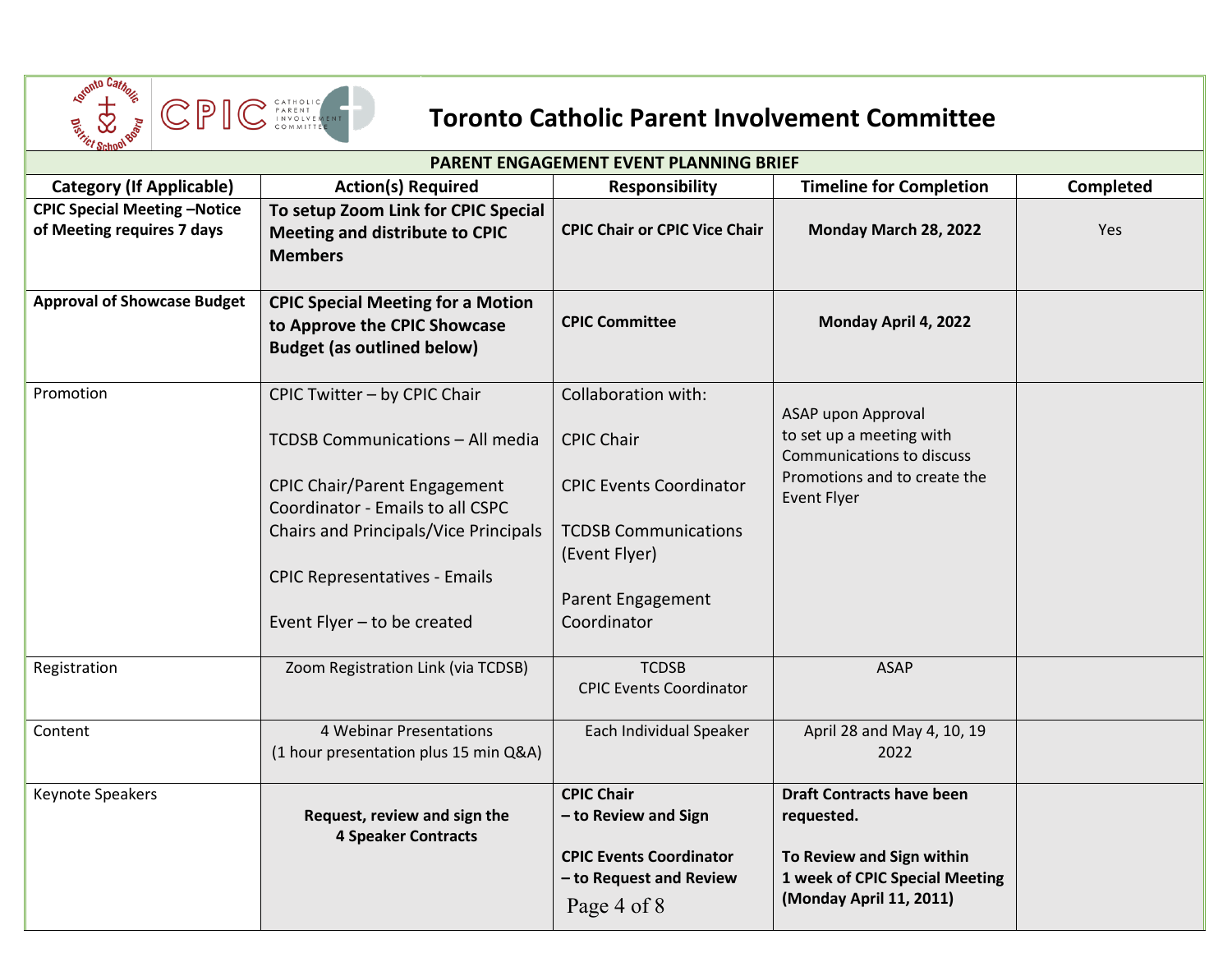

# **Toronto Catholic Parent Involvement Committee**

| ™ ornu∾<br>PARENT ENGAGEMENT EVENT PLANNING BRIEF                 |                                                                                                               |                                                                                                        |                                                                                                                                          |                  |  |  |
|-------------------------------------------------------------------|---------------------------------------------------------------------------------------------------------------|--------------------------------------------------------------------------------------------------------|------------------------------------------------------------------------------------------------------------------------------------------|------------------|--|--|
| <b>Category (If Applicable)</b>                                   | <b>Action(s) Required</b>                                                                                     | <b>Responsibility</b>                                                                                  | <b>Timeline for Completion</b>                                                                                                           | <b>Completed</b> |  |  |
| <b>CPIC Special Meeting -Notice</b><br>of Meeting requires 7 days | To setup Zoom Link for CPIC Special<br>Meeting and distribute to CPIC<br><b>Members</b>                       | <b>CPIC Chair or CPIC Vice Chair</b>                                                                   | Monday March 28, 2022                                                                                                                    | Yes              |  |  |
| <b>Approval of Showcase Budget</b>                                | <b>CPIC Special Meeting for a Motion</b><br>to Approve the CPIC Showcase<br><b>Budget (as outlined below)</b> | <b>CPIC Committee</b>                                                                                  | Monday April 4, 2022                                                                                                                     |                  |  |  |
| Promotion                                                         | CPIC Twitter - by CPIC Chair                                                                                  | Collaboration with:                                                                                    |                                                                                                                                          |                  |  |  |
|                                                                   | TCDSB Communications - All media                                                                              | <b>CPIC Chair</b>                                                                                      | ASAP upon Approval<br>to set up a meeting with<br>Communications to discuss                                                              |                  |  |  |
|                                                                   | <b>CPIC Chair/Parent Engagement</b><br>Coordinator - Emails to all CSPC                                       | <b>CPIC Events Coordinator</b>                                                                         | Promotions and to create the<br><b>Event Flyer</b>                                                                                       |                  |  |  |
|                                                                   | Chairs and Principals/Vice Principals                                                                         | <b>TCDSB Communications</b><br>(Event Flyer)                                                           |                                                                                                                                          |                  |  |  |
|                                                                   | <b>CPIC Representatives - Emails</b>                                                                          | Parent Engagement                                                                                      |                                                                                                                                          |                  |  |  |
|                                                                   | Event Flyer - to be created                                                                                   | Coordinator                                                                                            |                                                                                                                                          |                  |  |  |
| Registration                                                      | Zoom Registration Link (via TCDSB)                                                                            | <b>TCDSB</b><br><b>CPIC Events Coordinator</b>                                                         | <b>ASAP</b>                                                                                                                              |                  |  |  |
| Content                                                           | 4 Webinar Presentations<br>(1 hour presentation plus 15 min Q&A)                                              | Each Individual Speaker                                                                                | April 28 and May 4, 10, 19<br>2022                                                                                                       |                  |  |  |
| Keynote Speakers                                                  | Request, review and sign the<br><b>4 Speaker Contracts</b>                                                    | <b>CPIC Chair</b><br>- to Review and Sign<br><b>CPIC Events Coordinator</b><br>- to Request and Review | <b>Draft Contracts have been</b><br>requested.<br>To Review and Sign within<br>1 week of CPIC Special Meeting<br>(Monday April 11, 2011) |                  |  |  |
|                                                                   |                                                                                                               | Page 4 of 8                                                                                            |                                                                                                                                          |                  |  |  |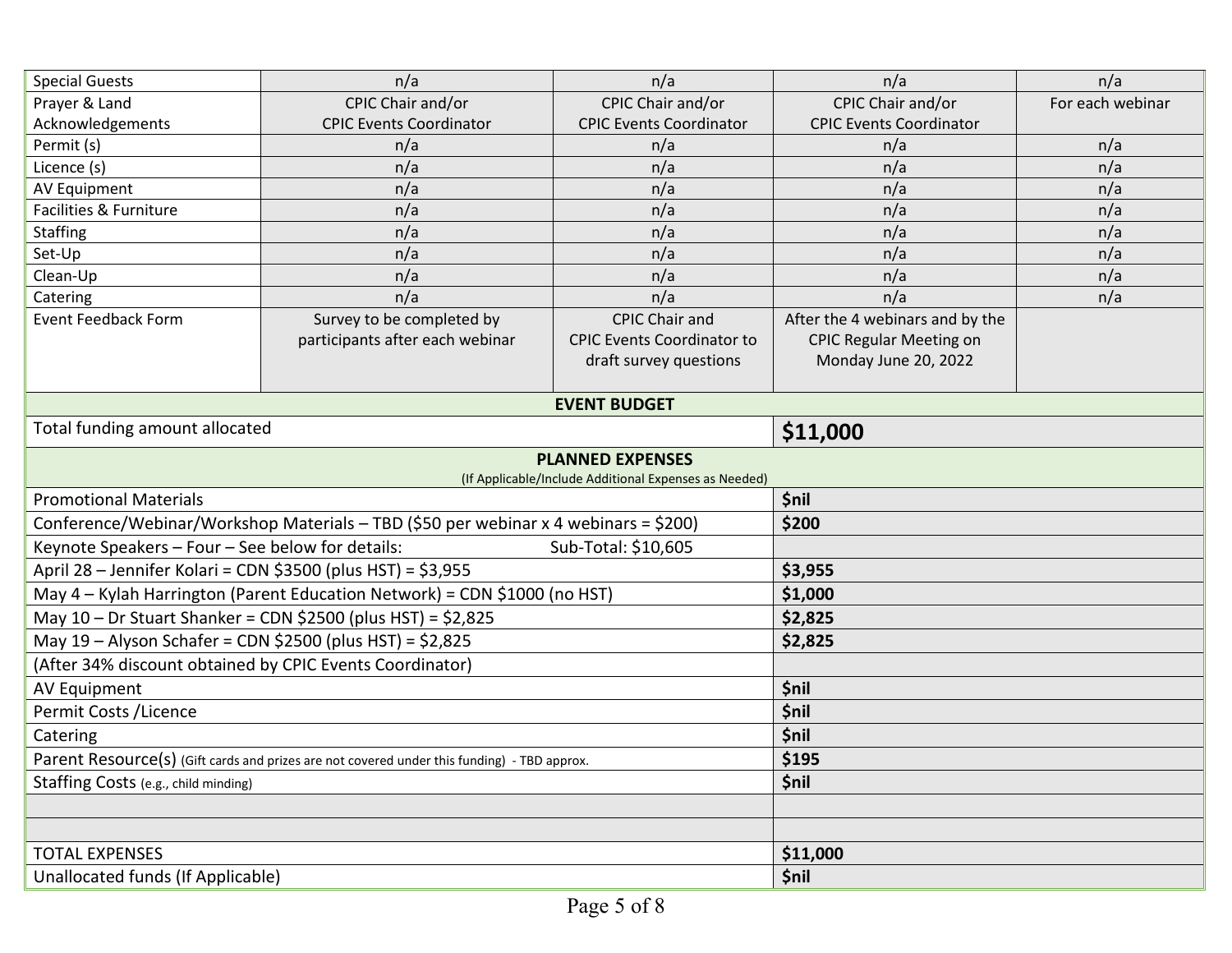| <b>Special Guests</b>                                                                       | n/a                                                          | n/a                                                   | n/a                             | n/a              |  |
|---------------------------------------------------------------------------------------------|--------------------------------------------------------------|-------------------------------------------------------|---------------------------------|------------------|--|
| Prayer & Land                                                                               | CPIC Chair and/or                                            | CPIC Chair and/or                                     | CPIC Chair and/or               | For each webinar |  |
| Acknowledgements                                                                            | <b>CPIC Events Coordinator</b>                               | <b>CPIC Events Coordinator</b>                        | <b>CPIC Events Coordinator</b>  |                  |  |
| Permit (s)                                                                                  | n/a                                                          | n/a                                                   | n/a                             | n/a              |  |
| Licence (s)                                                                                 | n/a                                                          | n/a                                                   | n/a                             | n/a              |  |
| <b>AV Equipment</b>                                                                         | n/a                                                          | n/a                                                   | n/a                             | n/a              |  |
| Facilities & Furniture                                                                      | n/a                                                          | n/a                                                   | n/a                             | n/a              |  |
| <b>Staffing</b>                                                                             | n/a                                                          | n/a                                                   | n/a                             | n/a              |  |
| Set-Up                                                                                      | n/a                                                          | n/a                                                   | n/a                             | n/a              |  |
| Clean-Up                                                                                    | n/a                                                          | n/a                                                   | n/a                             | n/a              |  |
| Catering                                                                                    | n/a                                                          | n/a                                                   | n/a                             | n/a              |  |
| <b>Event Feedback Form</b>                                                                  | Survey to be completed by                                    | <b>CPIC Chair and</b>                                 | After the 4 webinars and by the |                  |  |
|                                                                                             | participants after each webinar                              | <b>CPIC Events Coordinator to</b>                     | <b>CPIC Regular Meeting on</b>  |                  |  |
|                                                                                             |                                                              | draft survey questions                                | Monday June 20, 2022            |                  |  |
|                                                                                             |                                                              |                                                       |                                 |                  |  |
|                                                                                             |                                                              | <b>EVENT BUDGET</b>                                   |                                 |                  |  |
| Total funding amount allocated                                                              |                                                              |                                                       | \$11,000                        |                  |  |
|                                                                                             |                                                              | <b>PLANNED EXPENSES</b>                               |                                 |                  |  |
|                                                                                             |                                                              | (If Applicable/Include Additional Expenses as Needed) |                                 |                  |  |
| <b>Promotional Materials</b>                                                                |                                                              |                                                       | <b>\$nil</b>                    |                  |  |
| Conference/Webinar/Workshop Materials - TBD (\$50 per webinar x 4 webinars = \$200)         |                                                              |                                                       | \$200                           |                  |  |
| Keynote Speakers - Four - See below for details:<br>Sub-Total: \$10,605                     |                                                              |                                                       |                                 |                  |  |
| April 28 - Jennifer Kolari = CDN \$3500 (plus HST) = \$3,955                                |                                                              |                                                       | \$3,955                         |                  |  |
| May 4 - Kylah Harrington (Parent Education Network) = CDN \$1000 (no HST)                   |                                                              |                                                       | \$1,000                         |                  |  |
|                                                                                             | May 10 - Dr Stuart Shanker = CDN \$2500 (plus HST) = \$2,825 |                                                       | \$2,825                         |                  |  |
| May 19 - Alyson Schafer = CDN \$2500 (plus HST) = \$2,825                                   |                                                              |                                                       | \$2,825                         |                  |  |
| (After 34% discount obtained by CPIC Events Coordinator)                                    |                                                              |                                                       |                                 |                  |  |
| AV Equipment                                                                                |                                                              |                                                       | \$nil                           |                  |  |
| Permit Costs / Licence                                                                      |                                                              |                                                       | \$nil                           |                  |  |
| Catering                                                                                    |                                                              |                                                       | <b>\$nil</b>                    |                  |  |
| Parent Resource(s) (Gift cards and prizes are not covered under this funding) - TBD approx. |                                                              |                                                       | \$195                           |                  |  |
| Staffing Costs (e.g., child minding)                                                        |                                                              |                                                       | \$nil                           |                  |  |
|                                                                                             |                                                              |                                                       |                                 |                  |  |
|                                                                                             |                                                              |                                                       |                                 |                  |  |
| <b>TOTAL EXPENSES</b>                                                                       |                                                              |                                                       | \$11,000                        |                  |  |
| Unallocated funds (If Applicable)                                                           |                                                              |                                                       | <b>\$nil</b>                    |                  |  |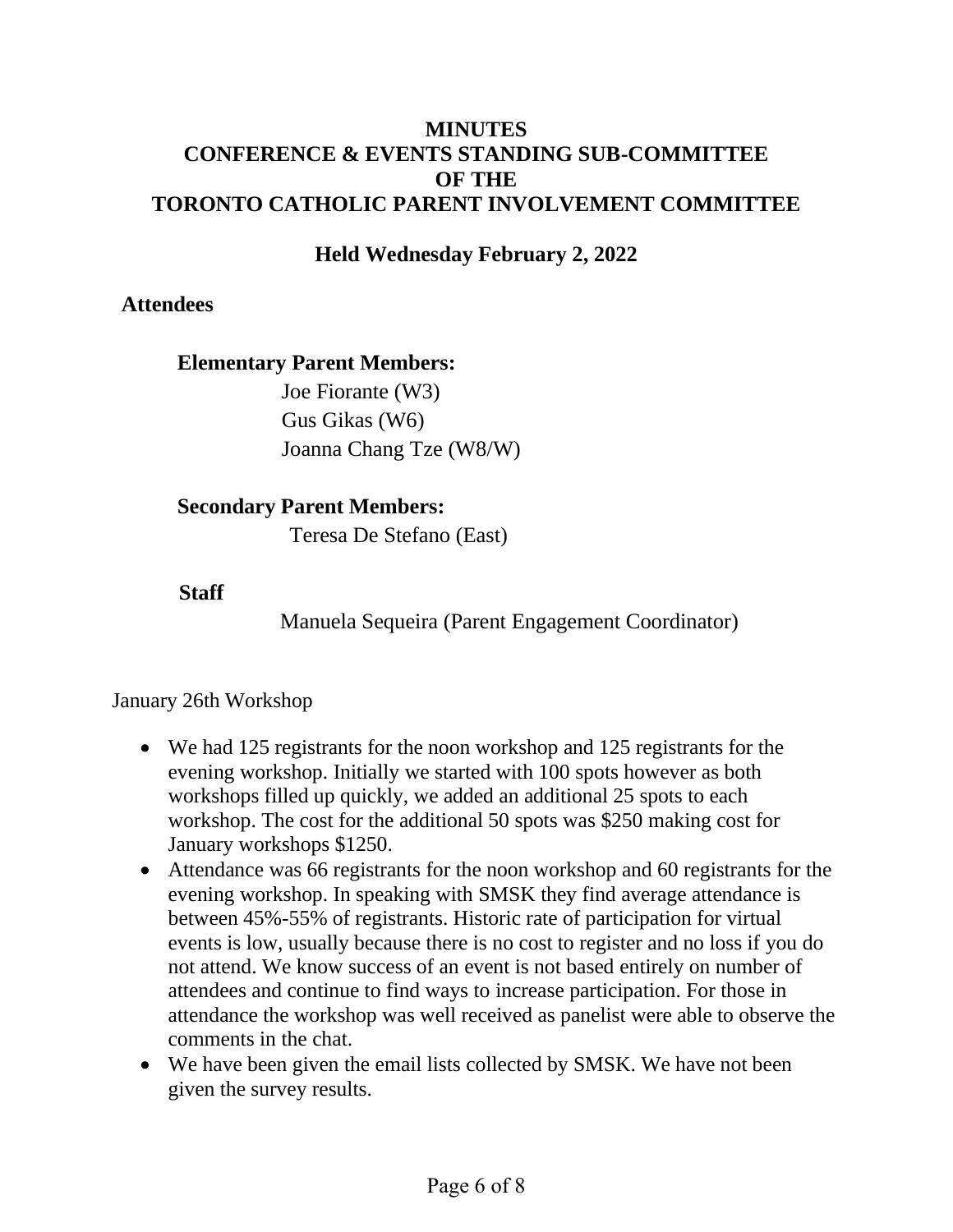#### **MINUTES CONFERENCE & EVENTS STANDING SUB-COMMITTEE OF THE TORONTO CATHOLIC PARENT INVOLVEMENT COMMITTEE**

### **Held Wednesday February 2, 2022**

#### **Attendees**

#### **Elementary Parent Members:**

Joe Fiorante (W3) Gus Gikas (W6) Joanna Chang Tze (W8/W)

#### **Secondary Parent Members:**

Teresa De Stefano (East)

#### **Staff**

Manuela Sequeira (Parent Engagement Coordinator)

#### January 26th Workshop

- We had 125 registrants for the noon workshop and 125 registrants for the evening workshop. Initially we started with 100 spots however as both workshops filled up quickly, we added an additional 25 spots to each workshop. The cost for the additional 50 spots was \$250 making cost for January workshops \$1250.
- Attendance was 66 registrants for the noon workshop and 60 registrants for the evening workshop. In speaking with SMSK they find average attendance is between 45%-55% of registrants. Historic rate of participation for virtual events is low, usually because there is no cost to register and no loss if you do not attend. We know success of an event is not based entirely on number of attendees and continue to find ways to increase participation. For those in attendance the workshop was well received as panelist were able to observe the comments in the chat.
- We have been given the email lists collected by SMSK. We have not been given the survey results.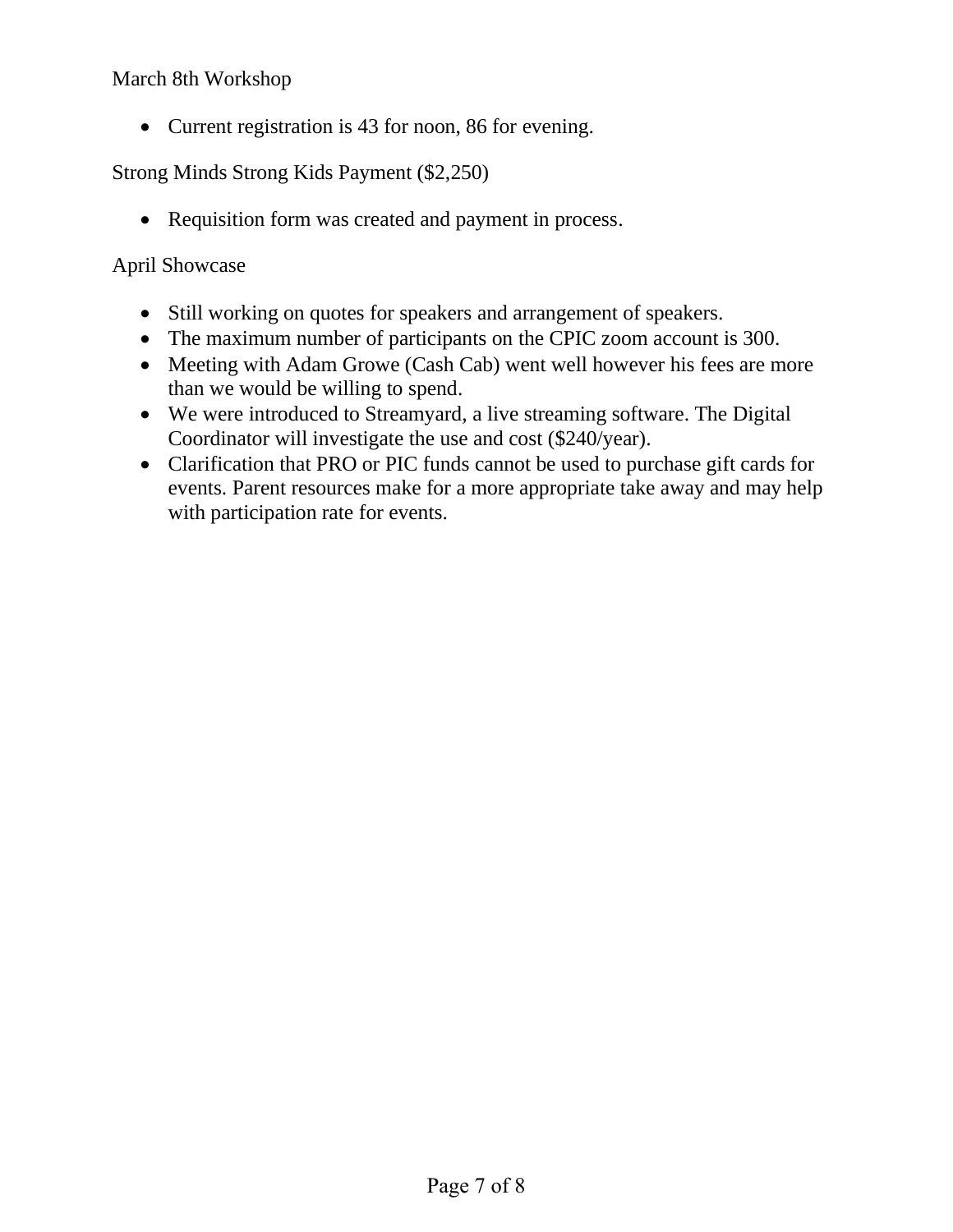#### March 8th Workshop

• Current registration is 43 for noon, 86 for evening.

Strong Minds Strong Kids Payment (\$2,250)

• Requisition form was created and payment in process.

#### April Showcase

- Still working on quotes for speakers and arrangement of speakers.
- The maximum number of participants on the CPIC zoom account is 300.
- Meeting with Adam Growe (Cash Cab) went well however his fees are more than we would be willing to spend.
- We were introduced to Streamyard, a live streaming software. The Digital Coordinator will investigate the use and cost (\$240/year).
- Clarification that PRO or PIC funds cannot be used to purchase gift cards for events. Parent resources make for a more appropriate take away and may help with participation rate for events.